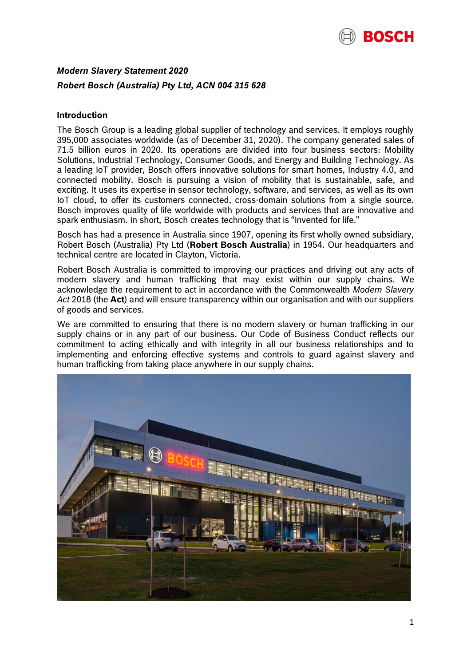

# *Modern Slavery Statement 2020 Robert Bosch (Australia) Pty Ltd, ACN 004 315 628*

# **Introduction**

The Bosch Group is a leading global supplier of technology and services. It employs roughly 395,000 associates worldwide (as of December 31, 2020). The company generated sales of 71.5 billion euros in 2020. Its operations are divided into four business sectors: Mobility Solutions, Industrial Technology, Consumer Goods, and Energy and Building Technology. As a leading IoT provider, Bosch offers innovative solutions for smart homes, Industry 4.0, and connected mobility. Bosch is pursuing a vision of mobility that is sustainable, safe, and exciting. It uses its expertise in sensor technology, software, and services, as well as its own IoT cloud, to offer its customers connected, cross-domain solutions from a single source. Bosch improves quality of life worldwide with products and services that are innovative and spark enthusiasm. In short, Bosch creates technology that is "Invented for life."

Bosch has had a presence in Australia since 1907, opening its first wholly owned subsidiary, Robert Bosch (Australia) Pty Ltd (**Robert Bosch Australia**) in 1954. Our headquarters and technical centre are located in Clayton, Victoria.

Robert Bosch Australia is committed to improving our practices and driving out any acts of modern slavery and human trafficking that may exist within our supply chains. We acknowledge the requirement to act in accordance with the Commonwealth *Modern Slavery Act* 2018 (the **Act**) and will ensure transparency within our organisation and with our suppliers of goods and services.

We are committed to ensuring that there is no modern slavery or human trafficking in our supply chains or in any part of our business. Our Code of Business Conduct reflects our commitment to acting ethically and with integrity in all our business relationships and to implementing and enforcing effective systems and controls to guard against slavery and human trafficking from taking place anywhere in our supply chains.

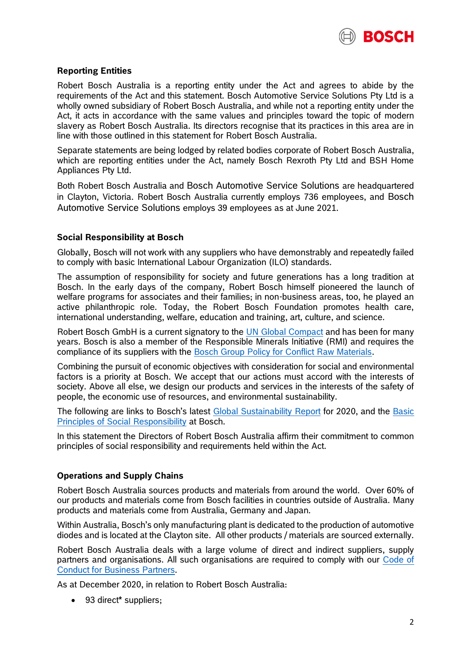

# **Reporting Entities**

Robert Bosch Australia is a reporting entity under the Act and agrees to abide by the requirements of the Act and this statement. Bosch Automotive Service Solutions Pty Ltd is a wholly owned subsidiary of Robert Bosch Australia, and while not a reporting entity under the Act, it acts in accordance with the same values and principles toward the topic of modern slavery as Robert Bosch Australia. Its directors recognise that its practices in this area are in line with those outlined in this statement for Robert Bosch Australia.

Separate statements are being lodged by related bodies corporate of Robert Bosch Australia, which are reporting entities under the Act, namely Bosch Rexroth Pty Ltd and BSH Home Appliances Pty Ltd.

Both Robert Bosch Australia and Bosch Automotive Service Solutions are headquartered in Clayton, Victoria. Robert Bosch Australia currently employs 736 employees, and Bosch Automotive Service Solutions employs 39 employees as at June 2021.

## **Social Responsibility at Bosch**

Globally, Bosch will not work with any suppliers who have demonstrably and repeatedly failed to comply with basic International Labour Organization (ILO) standards.

The assumption of responsibility for society and future generations has a long tradition at Bosch. In the early days of the company, Robert Bosch himself pioneered the launch of welfare programs for associates and their families; in non-business areas, too, he played an active philanthropic role. Today, the Robert Bosch Foundation promotes health care, international understanding, welfare, education and training, art, culture, and science.

Robert Bosch GmbH is a current signatory to the [UN Global Compact](https://www.unglobalcompact.org/what-is-gc/participants/8033%23cop) and has been for many years. Bosch is also a member of the Responsible Minerals Initiative (RMI) and requires the compliance of its suppliers with the [Bosch Group Policy for Conflict Raw Materials.](https://assets.bosch.com/media/global/sustainability/strategy/values_and_responsibility/bosch-group-policy-for-conflict-raw-materials.pdf)

Combining the pursuit of economic objectives with consideration for social and environmental factors is a priority at Bosch. We accept that our actions must accord with the interests of society. Above all else, we design our products and services in the interests of the safety of people, the economic use of resources, and environmental sustainability.

The following are links to Bosch's latest [Global Sustainability Report](https://assets.bosch.com/media/global/sustainability/reporting_and_data/2020/bosch-sustainability-report-2020-factbook.pdf) for 2020, and the Basic [Principles of Social Responsibility](https://assets.bosch.com/media/en/global/sustainability/reporting_and_data/basic-principles-of-social-responsibilities.pdf) at Bosch.

In this statement the Directors of Robert Bosch Australia affirm their commitment to common principles of social responsibility and requirements held within the Act.

### **Operations and Supply Chains**

Robert Bosch Australia sources products and materials from around the world. Over 60% of our products and materials come from Bosch facilities in countries outside of Australia. Many products and materials come from Australia, Germany and Japan.

Within Australia, Bosch's only manufacturing plant is dedicated to the production of automotive diodes and is located at the Clayton site. All other products / materials are sourced externally.

Robert Bosch Australia deals with a large volume of direct and indirect suppliers, supply partners and organisations. All such organisations are required to comply with our [Code of](https://assets.bosch.com/media/global/sustainability/strategy/values_and_responsibility/code-of-conduct-for-business-partners.pdf)  [Conduct for Business Partners.](https://assets.bosch.com/media/global/sustainability/strategy/values_and_responsibility/code-of-conduct-for-business-partners.pdf)

As at December 2020, in relation to Robert Bosch Australia:

• 93 direct\* suppliers;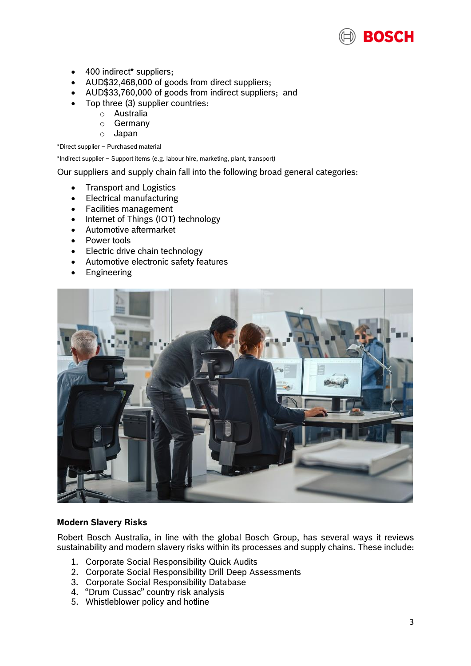

- 400 indirect\* suppliers;
- AUD\$32,468,000 of goods from direct suppliers;
- AUD\$33,760,000 of goods from indirect suppliers; and
- Top three (3) supplier countries:
	- o Australia
	- o Germany
	- o Japan

\*Direct supplier – Purchased material

\*Indirect supplier – Support items (e.g. labour hire, marketing, plant, transport)

Our suppliers and supply chain fall into the following broad general categories:

- Transport and Logistics
- Electrical manufacturing
- Facilities management
- Internet of Things (IOT) technology
- Automotive aftermarket
- Power tools
- Electric drive chain technology
- Automotive electronic safety features
- Engineering



### **Modern Slavery Risks**

Robert Bosch Australia, in line with the global Bosch Group, has several ways it reviews sustainability and modern slavery risks within its processes and supply chains. These include:

- 1. Corporate Social Responsibility Quick Audits
- 2. Corporate Social Responsibility Drill Deep Assessments
- 3. Corporate Social Responsibility Database
- 4. "Drum Cussac" country risk analysis
- 5. Whistleblower policy and hotline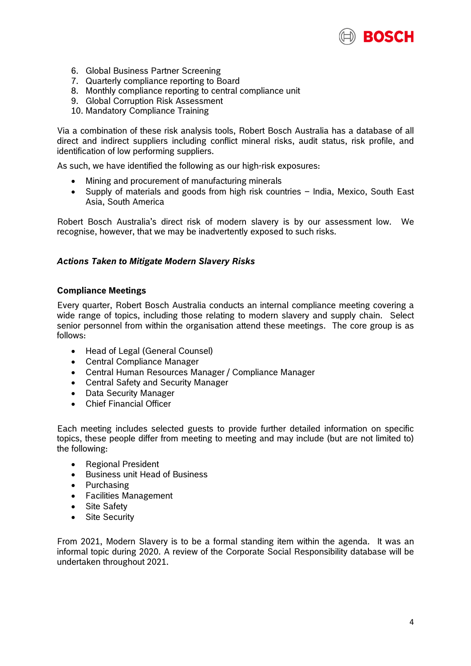

- 6. Global Business Partner Screening
- 7. Quarterly compliance reporting to Board
- 8. Monthly compliance reporting to central compliance unit
- 9. Global Corruption Risk Assessment
- 10. Mandatory Compliance Training

Via a combination of these risk analysis tools, Robert Bosch Australia has a database of all direct and indirect suppliers including conflict mineral risks, audit status, risk profile, and identification of low performing suppliers.

As such, we have identified the following as our high-risk exposures:

- Mining and procurement of manufacturing minerals
- Supply of materials and goods from high risk countries India, Mexico, South East Asia, South America

Robert Bosch Australia's direct risk of modern slavery is by our assessment low. We recognise, however, that we may be inadvertently exposed to such risks.

### *Actions Taken to Mitigate Modern Slavery Risks*

### **Compliance Meetings**

Every quarter, Robert Bosch Australia conducts an internal compliance meeting covering a wide range of topics, including those relating to modern slavery and supply chain. Select senior personnel from within the organisation attend these meetings. The core group is as follows:

- Head of Legal (General Counsel)
- Central Compliance Manager
- Central Human Resources Manager / Compliance Manager
- Central Safety and Security Manager
- Data Security Manager
- Chief Financial Officer

Each meeting includes selected guests to provide further detailed information on specific topics, these people differ from meeting to meeting and may include (but are not limited to) the following:

- Regional President
- Business unit Head of Business
- Purchasing
- Facilities Management
- Site Safety
- Site Security

From 2021, Modern Slavery is to be a formal standing item within the agenda. It was an informal topic during 2020. A review of the Corporate Social Responsibility database will be undertaken throughout 2021.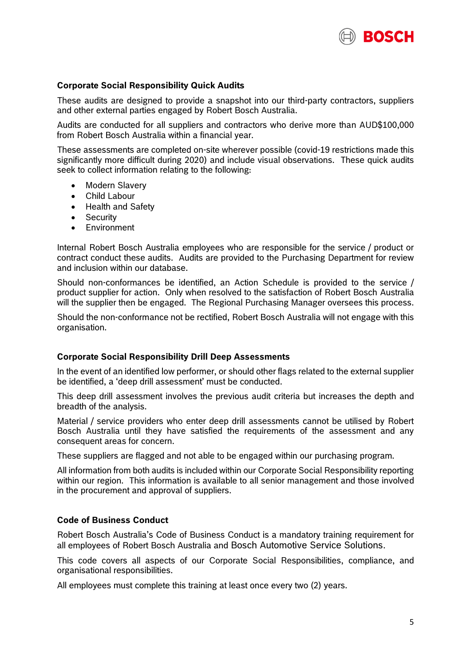

## **Corporate Social Responsibility Quick Audits**

These audits are designed to provide a snapshot into our third-party contractors, suppliers and other external parties engaged by Robert Bosch Australia.

Audits are conducted for all suppliers and contractors who derive more than AUD\$100,000 from Robert Bosch Australia within a financial year.

These assessments are completed on-site wherever possible (covid-19 restrictions made this significantly more difficult during 2020) and include visual observations. These quick audits seek to collect information relating to the following:

- Modern Slavery
- Child Labour
- Health and Safety
- Security
- **•** Environment

Internal Robert Bosch Australia employees who are responsible for the service / product or contract conduct these audits. Audits are provided to the Purchasing Department for review and inclusion within our database.

Should non-conformances be identified, an Action Schedule is provided to the service / product supplier for action. Only when resolved to the satisfaction of Robert Bosch Australia will the supplier then be engaged. The Regional Purchasing Manager oversees this process.

Should the non-conformance not be rectified, Robert Bosch Australia will not engage with this organisation.

#### **Corporate Social Responsibility Drill Deep Assessments**

In the event of an identified low performer, or should other flags related to the external supplier be identified, a 'deep drill assessment' must be conducted.

This deep drill assessment involves the previous audit criteria but increases the depth and breadth of the analysis.

Material / service providers who enter deep drill assessments cannot be utilised by Robert Bosch Australia until they have satisfied the requirements of the assessment and any consequent areas for concern.

These suppliers are flagged and not able to be engaged within our purchasing program.

All information from both audits is included within our Corporate Social Responsibility reporting within our region. This information is available to all senior management and those involved in the procurement and approval of suppliers.

### **Code of Business Conduct**

Robert Bosch Australia's Code of Business Conduct is a mandatory training requirement for all employees of Robert Bosch Australia and Bosch Automotive Service Solutions.

This code covers all aspects of our Corporate Social Responsibilities, compliance, and organisational responsibilities.

All employees must complete this training at least once every two (2) years.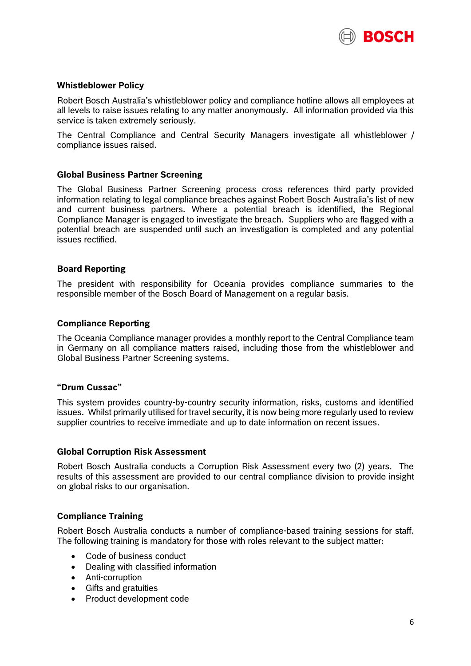

## **Whistleblower Policy**

Robert Bosch Australia's whistleblower policy and compliance hotline allows all employees at all levels to raise issues relating to any matter anonymously. All information provided via this service is taken extremely seriously.

The Central Compliance and Central Security Managers investigate all whistleblower / compliance issues raised.

### **Global Business Partner Screening**

The Global Business Partner Screening process cross references third party provided information relating to legal compliance breaches against Robert Bosch Australia's list of new and current business partners. Where a potential breach is identified, the Regional Compliance Manager is engaged to investigate the breach. Suppliers who are flagged with a potential breach are suspended until such an investigation is completed and any potential issues rectified.

#### **Board Reporting**

The president with responsibility for Oceania provides compliance summaries to the responsible member of the Bosch Board of Management on a regular basis.

#### **Compliance Reporting**

The Oceania Compliance manager provides a monthly report to the Central Compliance team in Germany on all compliance matters raised, including those from the whistleblower and Global Business Partner Screening systems.

#### **"Drum Cussac"**

This system provides country-by-country security information, risks, customs and identified issues. Whilst primarily utilised for travel security, it is now being more regularly used to review supplier countries to receive immediate and up to date information on recent issues.

#### **Global Corruption Risk Assessment**

Robert Bosch Australia conducts a Corruption Risk Assessment every two (2) years. The results of this assessment are provided to our central compliance division to provide insight on global risks to our organisation.

### **Compliance Training**

Robert Bosch Australia conducts a number of compliance-based training sessions for staff. The following training is mandatory for those with roles relevant to the subject matter:

- Code of business conduct
- Dealing with classified information
- Anti-corruption
- Gifts and gratuities
- Product development code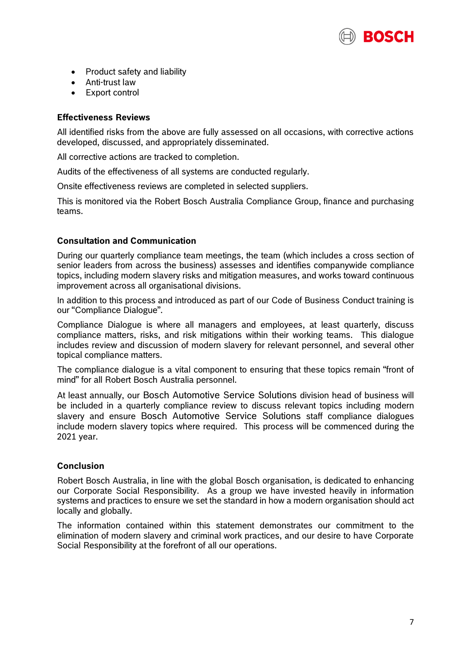

- Product safety and liability
- Anti-trust law
- Export control

## **Effectiveness Reviews**

All identified risks from the above are fully assessed on all occasions, with corrective actions developed, discussed, and appropriately disseminated.

All corrective actions are tracked to completion.

Audits of the effectiveness of all systems are conducted regularly.

Onsite effectiveness reviews are completed in selected suppliers.

This is monitored via the Robert Bosch Australia Compliance Group, finance and purchasing teams.

# **Consultation and Communication**

During our quarterly compliance team meetings, the team (which includes a cross section of senior leaders from across the business) assesses and identifies companywide compliance topics, including modern slavery risks and mitigation measures, and works toward continuous improvement across all organisational divisions.

In addition to this process and introduced as part of our Code of Business Conduct training is our "Compliance Dialogue".

Compliance Dialogue is where all managers and employees, at least quarterly, discuss compliance matters, risks, and risk mitigations within their working teams. This dialogue includes review and discussion of modern slavery for relevant personnel, and several other topical compliance matters.

The compliance dialogue is a vital component to ensuring that these topics remain "front of mind" for all Robert Bosch Australia personnel.

At least annually, our Bosch Automotive Service Solutions division head of business will be included in a quarterly compliance review to discuss relevant topics including modern slavery and ensure Bosch Automotive Service Solutions staff compliance dialogues include modern slavery topics where required. This process will be commenced during the 2021 year.

# **Conclusion**

Robert Bosch Australia, in line with the global Bosch organisation, is dedicated to enhancing our Corporate Social Responsibility. As a group we have invested heavily in information systems and practices to ensure we set the standard in how a modern organisation should act locally and globally.

The information contained within this statement demonstrates our commitment to the elimination of modern slavery and criminal work practices, and our desire to have Corporate Social Responsibility at the forefront of all our operations.